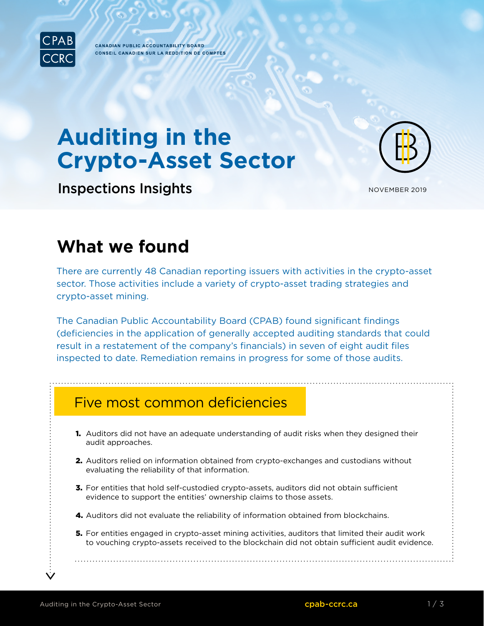

**CANADIAN PUBLIC ACCOUNTABILITY BOARD CONSEIL CANADIEN SUR LA REDDITION DE COMPTES** 

# **Auditing in the Crypto-Asset Sector**

Inspections Insights

NOVEMBER 2019

## **What we found**

There are currently 48 Canadian reporting issuers with activities in the crypto-asset sector. Those activities include a variety of crypto-asset trading strategies and crypto-asset mining.

The Canadian Public Accountability Board (CPAB) found significant findings (deficiencies in the application of generally accepted auditing standards that could result in a restatement of the company's financials) in seven of eight audit files inspected to date. Remediation remains in progress for some of those audits.

### Five most common deficiencies

- **1.** Auditors did not have an adequate understanding of audit risks when they designed their audit approaches.
- 2. Auditors relied on information obtained from crypto-exchanges and custodians without evaluating the reliability of that information.
- **3.** For entities that hold self-custodied crypto-assets, auditors did not obtain sufficient evidence to support the entities' ownership claims to those assets.
- 4. Auditors did not evaluate the reliability of information obtained from blockchains.
- **5.** For entities engaged in crypto-asset mining activities, auditors that limited their audit work to vouching crypto-assets received to the blockchain did not obtain sufficient audit evidence.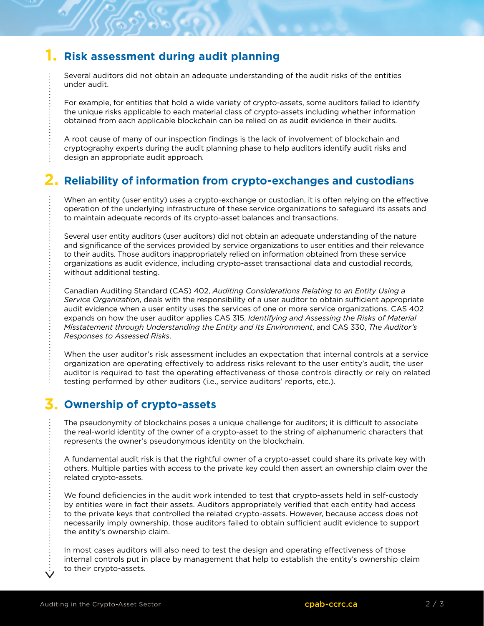#### **1. Risk assessment during audit planning**

Several auditors did not obtain an adequate understanding of the audit risks of the entities under audit.

For example, for entities that hold a wide variety of crypto-assets, some auditors failed to identify the unique risks applicable to each material class of crypto-assets including whether information obtained from each applicable blockchain can be relied on as audit evidence in their audits.

A root cause of many of our inspection findings is the lack of involvement of blockchain and cryptography experts during the audit planning phase to help auditors identify audit risks and design an appropriate audit approach.

#### **2. Reliability of information from crypto-exchanges and custodians**

When an entity (user entity) uses a crypto-exchange or custodian, it is often relying on the effective operation of the underlying infrastructure of these service organizations to safeguard its assets and to maintain adequate records of its crypto-asset balances and transactions.

Several user entity auditors (user auditors) did not obtain an adequate understanding of the nature and significance of the services provided by service organizations to user entities and their relevance to their audits. Those auditors inappropriately relied on information obtained from these service organizations as audit evidence, including crypto-asset transactional data and custodial records, without additional testing.

Canadian Auditing Standard (CAS) 402, *Auditing Considerations Relating to an Entity Using a Service Organization*, deals with the responsibility of a user auditor to obtain sufficient appropriate audit evidence when a user entity uses the services of one or more service organizations. CAS 402 expands on how the user auditor applies CAS 315, *Identifying and Assessing the Risks of Material Misstatement through Understanding the Entity and Its Environment*, and CAS 330, *The Auditor's Responses to Assessed Risks*.

When the user auditor's risk assessment includes an expectation that internal controls at a service organization are operating effectively to address risks relevant to the user entity's audit, the user auditor is required to test the operating effectiveness of those controls directly or rely on related testing performed by other auditors (i.e., service auditors' reports, etc.).

#### **3. Ownership of crypto-assets**

The pseudonymity of blockchains poses a unique challenge for auditors; it is difficult to associate the real-world identity of the owner of a crypto-asset to the string of alphanumeric characters that represents the owner's pseudonymous identity on the blockchain.

A fundamental audit risk is that the rightful owner of a crypto-asset could share its private key with others. Multiple parties with access to the private key could then assert an ownership claim over the related crypto-assets.

We found deficiencies in the audit work intended to test that crypto-assets held in self-custody by entities were in fact their assets. Auditors appropriately verified that each entity had access to the private keys that controlled the related crypto-assets. However, because access does not necessarily imply ownership, those auditors failed to obtain sufficient audit evidence to support the entity's ownership claim.

In most cases auditors will also need to test the design and operating effectiveness of those internal controls put in place by management that help to establish the entity's ownership claim to their crypto-assets.